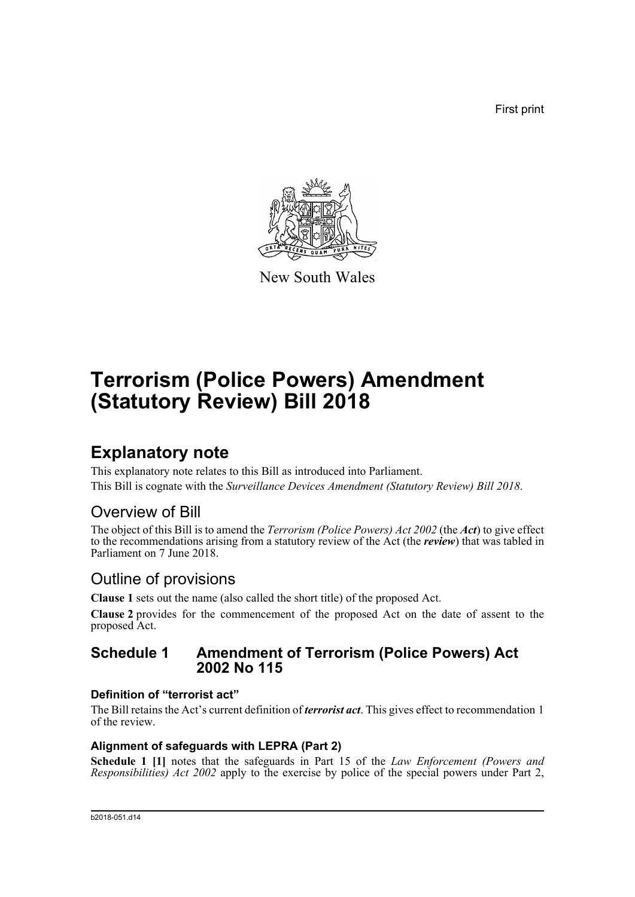First print



New South Wales

# **Terrorism (Police Powers) Amendment (Statutory Review) Bill 2018**

# **Explanatory note**

This explanatory note relates to this Bill as introduced into Parliament. This Bill is cognate with the *Surveillance Devices Amendment (Statutory Review) Bill 2018*.

# Overview of Bill

The object of this Bill is to amend the *Terrorism (Police Powers) Act 2002* (the *Act*) to give effect to the recommendations arising from a statutory review of the Act (the *review*) that was tabled in Parliament on 7 June 2018.

# Outline of provisions

**Clause 1** sets out the name (also called the short title) of the proposed Act.

**Clause 2** provides for the commencement of the proposed Act on the date of assent to the proposed Act.

# **Schedule 1 Amendment of Terrorism (Police Powers) Act 2002 No 115**

# **Definition of "terrorist act"**

The Bill retains the Act's current definition of *terrorist act*. This gives effect to recommendation 1 of the review.

# **Alignment of safeguards with LEPRA (Part 2)**

**Schedule 1 [1]** notes that the safeguards in Part 15 of the *Law Enforcement (Powers and Responsibilities) Act 2002* apply to the exercise by police of the special powers under Part 2,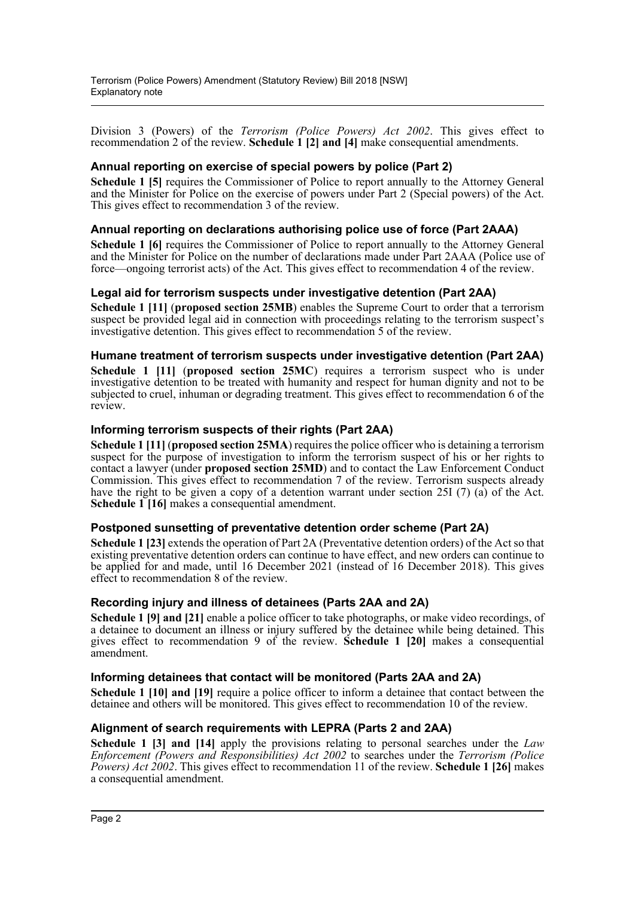Division 3 (Powers) of the *Terrorism (Police Powers) Act 2002*. This gives effect to recommendation 2 of the review. **Schedule 1 [2] and [4]** make consequential amendments.

# **Annual reporting on exercise of special powers by police (Part 2)**

**Schedule 1 [5]** requires the Commissioner of Police to report annually to the Attorney General and the Minister for Police on the exercise of powers under Part 2 (Special powers) of the Act. This gives effect to recommendation 3 of the review.

# **Annual reporting on declarations authorising police use of force (Part 2AAA)**

**Schedule 1 [6]** requires the Commissioner of Police to report annually to the Attorney General and the Minister for Police on the number of declarations made under Part 2AAA (Police use of force—ongoing terrorist acts) of the Act. This gives effect to recommendation 4 of the review.

# **Legal aid for terrorism suspects under investigative detention (Part 2AA)**

**Schedule 1 [11]** (**proposed section 25MB**) enables the Supreme Court to order that a terrorism suspect be provided legal aid in connection with proceedings relating to the terrorism suspect's investigative detention. This gives effect to recommendation 5 of the review.

# **Humane treatment of terrorism suspects under investigative detention (Part 2AA)**

**Schedule 1 [11]** (**proposed section 25MC**) requires a terrorism suspect who is under investigative detention to be treated with humanity and respect for human dignity and not to be subjected to cruel, inhuman or degrading treatment. This gives effect to recommendation 6 of the review.

# **Informing terrorism suspects of their rights (Part 2AA)**

**Schedule 1 [11]** (**proposed section 25MA**) requires the police officer who is detaining a terrorism suspect for the purpose of investigation to inform the terrorism suspect of his or her rights to contact a lawyer (under **proposed section 25MD**) and to contact the Law Enforcement Conduct Commission. This gives effect to recommendation 7 of the review. Terrorism suspects already have the right to be given a copy of a detention warrant under section 25I (7) (a) of the Act. **Schedule 1 [16]** makes a consequential amendment.

# **Postponed sunsetting of preventative detention order scheme (Part 2A)**

**Schedule 1 [23]** extends the operation of Part 2A (Preventative detention orders) of the Act so that existing preventative detention orders can continue to have effect, and new orders can continue to be applied for and made, until 16 December 2021 (instead of 16 December 2018). This gives effect to recommendation 8 of the review.

# **Recording injury and illness of detainees (Parts 2AA and 2A)**

**Schedule 1 [9] and [21]** enable a police officer to take photographs, or make video recordings, of a detainee to document an illness or injury suffered by the detainee while being detained. This gives effect to recommendation 9 of the review. **Schedule 1 [20]** makes a consequential amendment.

# **Informing detainees that contact will be monitored (Parts 2AA and 2A)**

**Schedule 1 [10] and [19]** require a police officer to inform a detainee that contact between the detainee and others will be monitored. This gives effect to recommendation 10 of the review.

# **Alignment of search requirements with LEPRA (Parts 2 and 2AA)**

**Schedule 1 [3] and [14]** apply the provisions relating to personal searches under the *Law Enforcement (Powers and Responsibilities) Act 2002* to searches under the *Terrorism (Police Powers) Act 2002*. This gives effect to recommendation 11 of the review. **Schedule 1 [26]** makes a consequential amendment.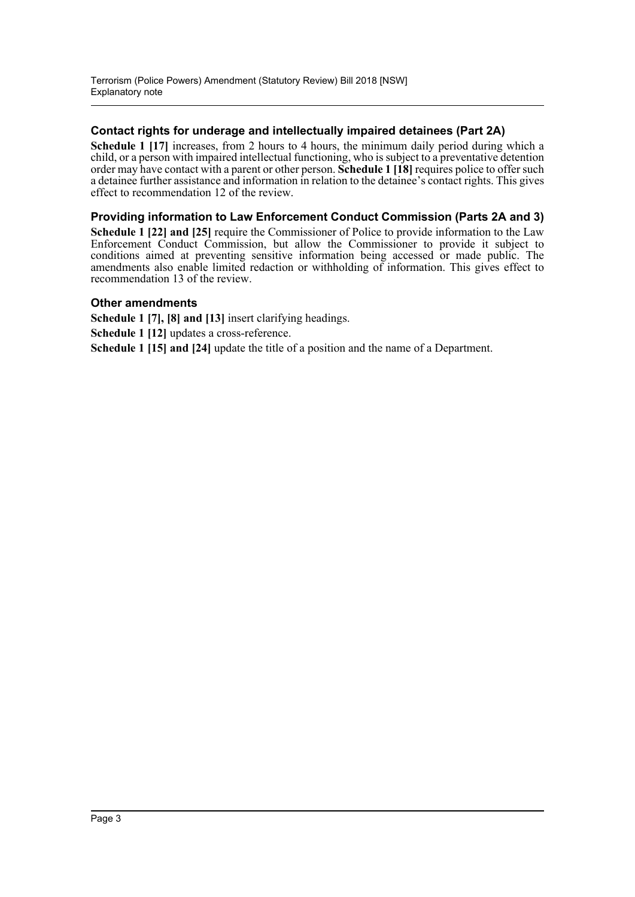# **Contact rights for underage and intellectually impaired detainees (Part 2A)**

**Schedule 1 [17]** increases, from 2 hours to 4 hours, the minimum daily period during which a child, or a person with impaired intellectual functioning, who is subject to a preventative detention order may have contact with a parent or other person. **Schedule 1 [18]** requires police to offer such a detainee further assistance and information in relation to the detainee's contact rights. This gives effect to recommendation 12 of the review.

# **Providing information to Law Enforcement Conduct Commission (Parts 2A and 3)**

**Schedule 1 [22] and [25]** require the Commissioner of Police to provide information to the Law Enforcement Conduct Commission, but allow the Commissioner to provide it subject to conditions aimed at preventing sensitive information being accessed or made public. The amendments also enable limited redaction or withholding of information. This gives effect to recommendation 13 of the review.

# **Other amendments**

**Schedule 1 [7], [8] and [13]** insert clarifying headings.

**Schedule 1 [12]** updates a cross-reference.

**Schedule 1 [15] and [24]** update the title of a position and the name of a Department.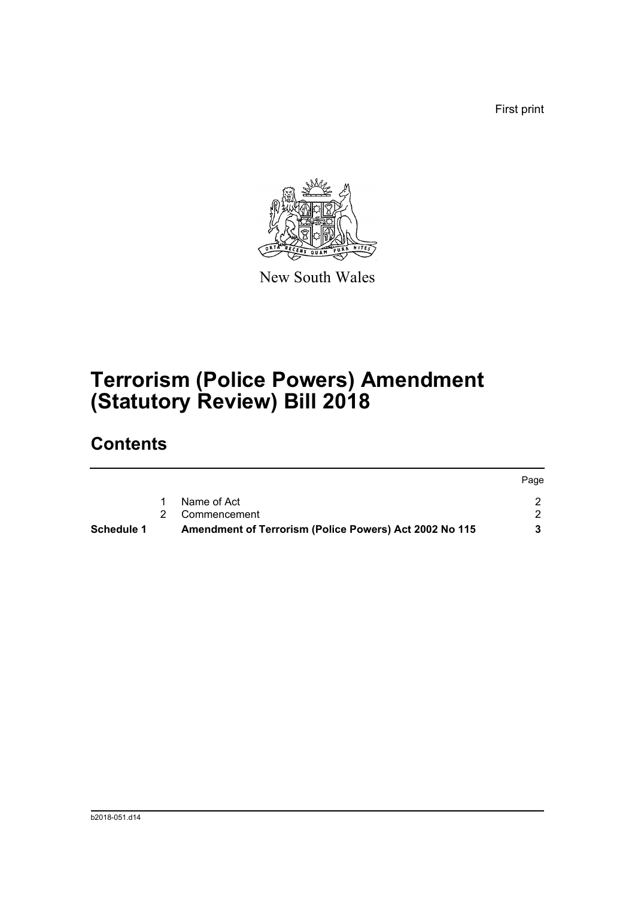First print



New South Wales

# **Terrorism (Police Powers) Amendment (Statutory Review) Bill 2018**

# **Contents**

| Schedule 1 | Amendment of Terrorism (Police Powers) Act 2002 No 115 |      |
|------------|--------------------------------------------------------|------|
|            | 2 Commencement                                         |      |
|            | Name of Act                                            |      |
|            |                                                        | Page |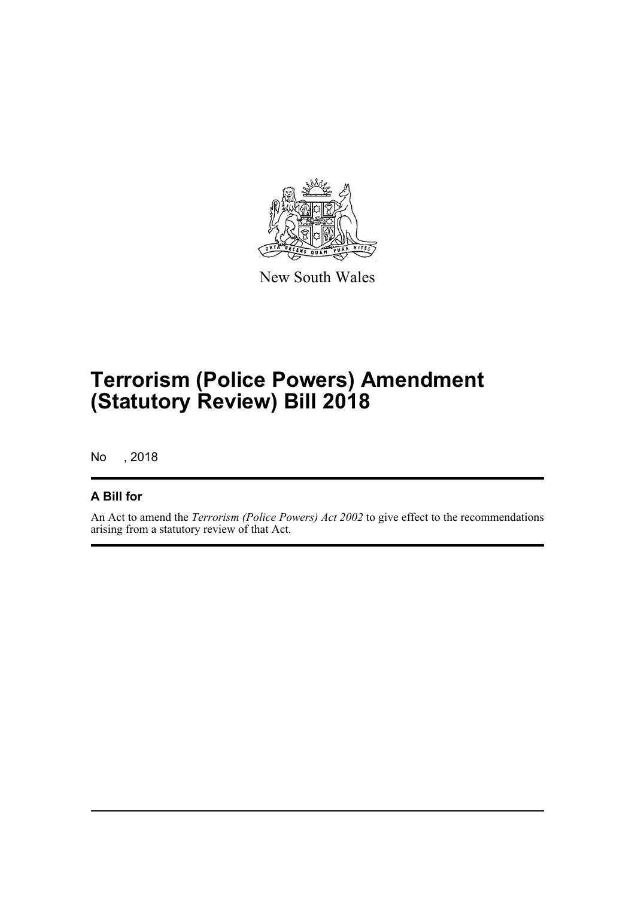

New South Wales

# **Terrorism (Police Powers) Amendment (Statutory Review) Bill 2018**

No , 2018

# **A Bill for**

An Act to amend the *Terrorism (Police Powers) Act 2002* to give effect to the recommendations arising from a statutory review of that Act.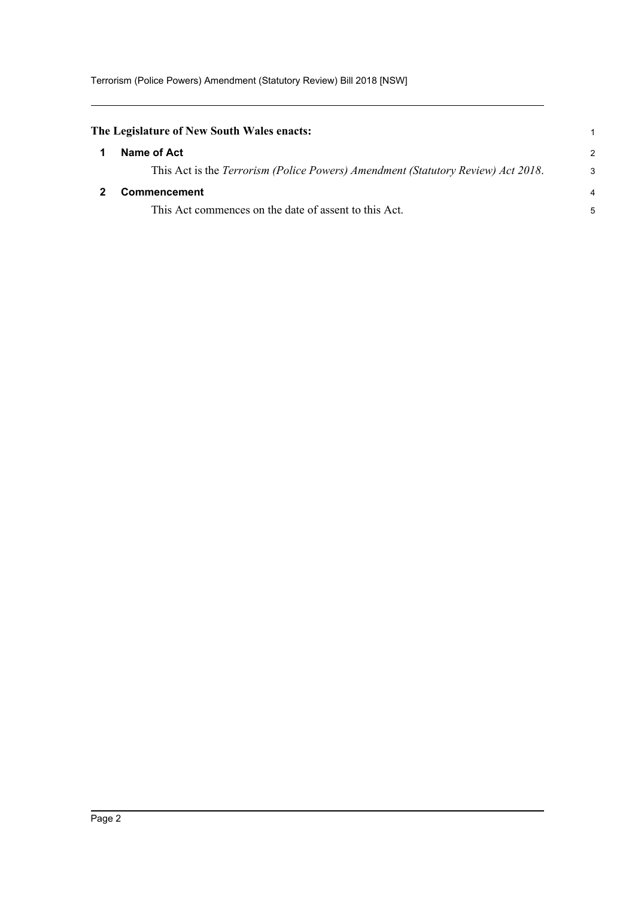<span id="page-5-1"></span><span id="page-5-0"></span>

| The Legislature of New South Wales enacts: |                                                                                  |                |
|--------------------------------------------|----------------------------------------------------------------------------------|----------------|
|                                            | Name of Act                                                                      | $\mathcal{P}$  |
|                                            | This Act is the Terrorism (Police Powers) Amendment (Statutory Review) Act 2018. | $\mathcal{S}$  |
|                                            | <b>Commencement</b>                                                              | $\overline{4}$ |
|                                            | This Act commences on the date of assent to this Act.                            | 5              |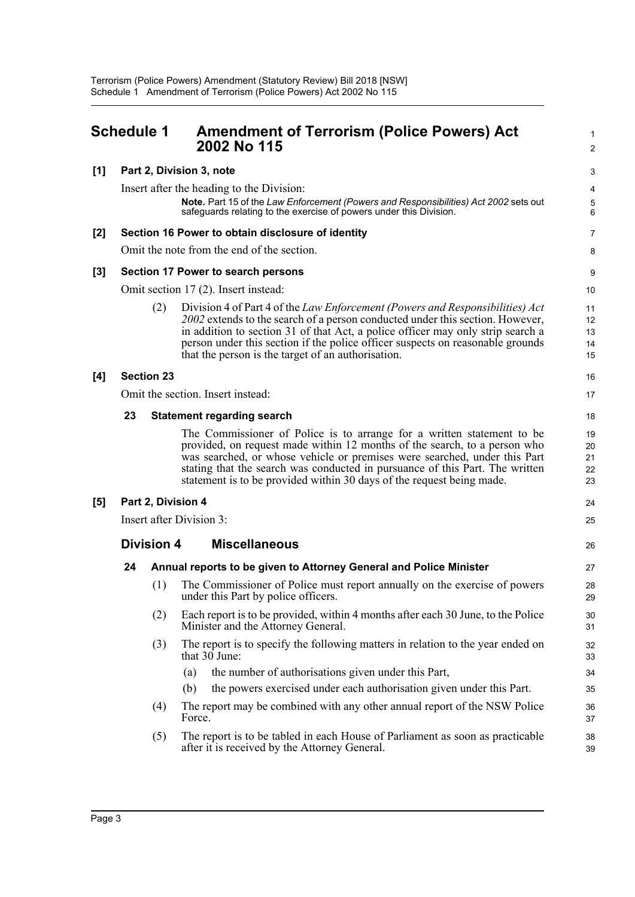<span id="page-6-0"></span>

|       | <b>Schedule 1</b>        |     | <b>Amendment of Terrorism (Police Powers) Act</b><br>2002 No 115                                                                                                                                                                                                                                                                                                                          | 1<br>$\overline{2}$        |
|-------|--------------------------|-----|-------------------------------------------------------------------------------------------------------------------------------------------------------------------------------------------------------------------------------------------------------------------------------------------------------------------------------------------------------------------------------------------|----------------------------|
| [1]   |                          |     | Part 2, Division 3, note                                                                                                                                                                                                                                                                                                                                                                  | 3                          |
|       |                          |     | Insert after the heading to the Division:<br>Note. Part 15 of the Law Enforcement (Powers and Responsibilities) Act 2002 sets out<br>safeguards relating to the exercise of powers under this Division.                                                                                                                                                                                   | 4<br>$\mathbf 5$<br>6      |
| [2]   |                          |     | Section 16 Power to obtain disclosure of identity                                                                                                                                                                                                                                                                                                                                         | $\overline{7}$             |
|       |                          |     | Omit the note from the end of the section.                                                                                                                                                                                                                                                                                                                                                | 8                          |
| $[3]$ |                          |     | Section 17 Power to search persons                                                                                                                                                                                                                                                                                                                                                        | 9                          |
|       |                          |     | Omit section 17 (2). Insert instead:                                                                                                                                                                                                                                                                                                                                                      | 10                         |
|       |                          | (2) | Division 4 of Part 4 of the Law Enforcement (Powers and Responsibilities) Act<br>2002 extends to the search of a person conducted under this section. However,<br>in addition to section 31 of that Act, a police officer may only strip search a<br>person under this section if the police officer suspects on reasonable grounds<br>that the person is the target of an authorisation. | 11<br>12<br>13<br>14<br>15 |
| [4]   | <b>Section 23</b>        |     |                                                                                                                                                                                                                                                                                                                                                                                           | 16                         |
|       |                          |     | Omit the section. Insert instead:                                                                                                                                                                                                                                                                                                                                                         | 17                         |
|       | 23                       |     | <b>Statement regarding search</b>                                                                                                                                                                                                                                                                                                                                                         | 18                         |
|       |                          |     | The Commissioner of Police is to arrange for a written statement to be<br>provided, on request made within 12 months of the search, to a person who<br>was searched, or whose vehicle or premises were searched, under this Part<br>stating that the search was conducted in pursuance of this Part. The written<br>statement is to be provided within 30 days of the request being made. | 19<br>20<br>21<br>22<br>23 |
| [5]   |                          |     | Part 2, Division 4                                                                                                                                                                                                                                                                                                                                                                        | 24                         |
|       | Insert after Division 3: |     |                                                                                                                                                                                                                                                                                                                                                                                           |                            |
|       | <b>Division 4</b>        |     | <b>Miscellaneous</b>                                                                                                                                                                                                                                                                                                                                                                      | 26                         |
|       | 24                       |     | Annual reports to be given to Attorney General and Police Minister                                                                                                                                                                                                                                                                                                                        | 27                         |
|       |                          | (1) | The Commissioner of Police must report annually on the exercise of powers<br>under this Part by police officers.                                                                                                                                                                                                                                                                          | 28<br>29                   |
|       |                          | (2) | Each report is to be provided, within 4 months after each 30 June, to the Police<br>Minister and the Attorney General.                                                                                                                                                                                                                                                                    | 30<br>31                   |
|       |                          | (3) | The report is to specify the following matters in relation to the year ended on<br>that $30$ June:                                                                                                                                                                                                                                                                                        | 32<br>33                   |
|       |                          |     | the number of authorisations given under this Part,<br>(a)                                                                                                                                                                                                                                                                                                                                | 34                         |
|       |                          |     | the powers exercised under each authorisation given under this Part.<br>(b)                                                                                                                                                                                                                                                                                                               | 35                         |
|       |                          | (4) | The report may be combined with any other annual report of the NSW Police<br>Force.                                                                                                                                                                                                                                                                                                       | 36<br>37                   |
|       |                          | (5) | The report is to be tabled in each House of Parliament as soon as practicable<br>after it is received by the Attorney General.                                                                                                                                                                                                                                                            | 38<br>39                   |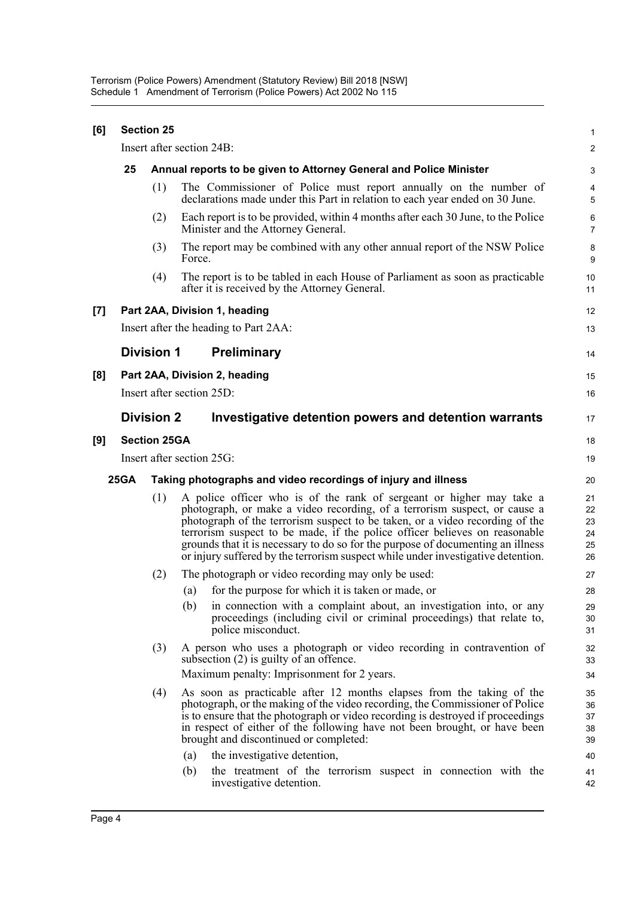| [6]   | <b>Section 25</b>         |                                                                    |                                                                                                                                                                                                                                                                                                                                                                                                                                                                                                            |                                              |
|-------|---------------------------|--------------------------------------------------------------------|------------------------------------------------------------------------------------------------------------------------------------------------------------------------------------------------------------------------------------------------------------------------------------------------------------------------------------------------------------------------------------------------------------------------------------------------------------------------------------------------------------|----------------------------------------------|
|       | Insert after section 24B: |                                                                    |                                                                                                                                                                                                                                                                                                                                                                                                                                                                                                            |                                              |
|       | 25                        | Annual reports to be given to Attorney General and Police Minister |                                                                                                                                                                                                                                                                                                                                                                                                                                                                                                            |                                              |
|       |                           | (1)                                                                | The Commissioner of Police must report annually on the number of<br>declarations made under this Part in relation to each year ended on 30 June.                                                                                                                                                                                                                                                                                                                                                           | 4<br>5                                       |
|       |                           | (2)                                                                | Each report is to be provided, within 4 months after each 30 June, to the Police<br>Minister and the Attorney General.                                                                                                                                                                                                                                                                                                                                                                                     | 6<br>$\overline{7}$                          |
|       |                           | (3)                                                                | The report may be combined with any other annual report of the NSW Police<br>Force.                                                                                                                                                                                                                                                                                                                                                                                                                        | 8<br>9                                       |
|       |                           | (4)                                                                | The report is to be tabled in each House of Parliament as soon as practicable<br>after it is received by the Attorney General.                                                                                                                                                                                                                                                                                                                                                                             | 10<br>11                                     |
| $[7]$ |                           |                                                                    | Part 2AA, Division 1, heading                                                                                                                                                                                                                                                                                                                                                                                                                                                                              | 12                                           |
|       |                           |                                                                    | Insert after the heading to Part 2AA:                                                                                                                                                                                                                                                                                                                                                                                                                                                                      | 13                                           |
|       |                           | <b>Division 1</b>                                                  | <b>Preliminary</b>                                                                                                                                                                                                                                                                                                                                                                                                                                                                                         | 14                                           |
| [8]   |                           |                                                                    | Part 2AA, Division 2, heading                                                                                                                                                                                                                                                                                                                                                                                                                                                                              | 15                                           |
|       |                           |                                                                    | Insert after section 25D:                                                                                                                                                                                                                                                                                                                                                                                                                                                                                  | 16                                           |
|       |                           | <b>Division 2</b>                                                  | Investigative detention powers and detention warrants                                                                                                                                                                                                                                                                                                                                                                                                                                                      | 17                                           |
| [9]   |                           | <b>Section 25GA</b>                                                |                                                                                                                                                                                                                                                                                                                                                                                                                                                                                                            | 18                                           |
|       |                           |                                                                    | Insert after section 25G:                                                                                                                                                                                                                                                                                                                                                                                                                                                                                  | 19                                           |
|       | <b>25GA</b>               |                                                                    | Taking photographs and video recordings of injury and illness                                                                                                                                                                                                                                                                                                                                                                                                                                              | 20                                           |
|       |                           | (1)                                                                | A police officer who is of the rank of sergeant or higher may take a<br>photograph, or make a video recording, of a terrorism suspect, or cause a<br>photograph of the terrorism suspect to be taken, or a video recording of the<br>terrorism suspect to be made, if the police officer believes on reasonable<br>grounds that it is necessary to do so for the purpose of documenting an illness<br>or injury suffered by the terrorism suspect while under investigative detention.                     | 21<br>22<br>23<br>24<br>25<br>26             |
|       |                           | (2)                                                                | The photograph or video recording may only be used:                                                                                                                                                                                                                                                                                                                                                                                                                                                        | 27                                           |
|       |                           |                                                                    | for the purpose for which it is taken or made, or<br>(a)                                                                                                                                                                                                                                                                                                                                                                                                                                                   | 28                                           |
|       |                           |                                                                    | (b)<br>in connection with a complaint about, an investigation into, or any<br>proceedings (including civil or criminal proceedings) that relate to,<br>police misconduct.                                                                                                                                                                                                                                                                                                                                  | 29<br>30<br>31                               |
|       |                           | (3)                                                                | A person who uses a photograph or video recording in contravention of<br>subsection $(2)$ is guilty of an offence.<br>Maximum penalty: Imprisonment for 2 years.                                                                                                                                                                                                                                                                                                                                           | 32<br>33<br>34                               |
|       |                           | (4)                                                                | As soon as practicable after 12 months elapses from the taking of the<br>photograph, or the making of the video recording, the Commissioner of Police<br>is to ensure that the photograph or video recording is destroyed if proceedings<br>in respect of either of the following have not been brought, or have been<br>brought and discontinued or completed:<br>the investigative detention,<br>(a)<br>the treatment of the terrorism suspect in connection with the<br>(b)<br>investigative detention. | 35<br>36<br>37<br>38<br>39<br>40<br>41<br>42 |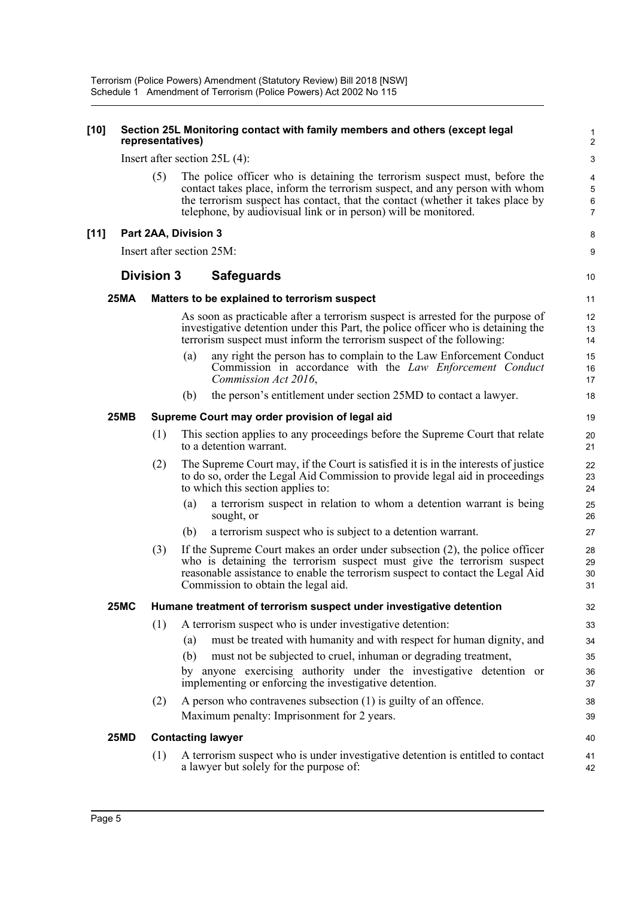#### **[10] Section 25L Monitoring contact with family members and others (except legal representatives)**

Insert after section 25L (4):

The police officer who is detaining the terrorism suspect must, before the contact takes place, inform the terrorism suspect, and any person with whom the terrorism suspect has contact, that the contact (whether it takes place by telephone, by audiovisual link or in person) will be monitored.

8 9

10

40 41 42

### **[11] Part 2AA, Division 3**

Insert after section 25M:

# **Division 3 Safeguards**

### **25MA Matters to be explained to terrorism suspect**

As soon as practicable after a terrorism suspect is arrested for the purpose of investigative detention under this Part, the police officer who is detaining the terrorism suspect must inform the terrorism suspect of the following:

- (a) any right the person has to complain to the Law Enforcement Conduct Commission in accordance with the *Law Enforcement Conduct Commission Act 2016*,
- (b) the person's entitlement under section 25MD to contact a lawyer.

#### **25MB Supreme Court may order provision of legal aid**

- (1) This section applies to any proceedings before the Supreme Court that relate to a detention warrant.
- (2) The Supreme Court may, if the Court is satisfied it is in the interests of justice to do so, order the Legal Aid Commission to provide legal aid in proceedings to which this section applies to:
	- (a) a terrorism suspect in relation to whom a detention warrant is being sought, or
	- (b) a terrorism suspect who is subject to a detention warrant.
- (3) If the Supreme Court makes an order under subsection (2), the police officer who is detaining the terrorism suspect must give the terrorism suspect reasonable assistance to enable the terrorism suspect to contact the Legal Aid Commission to obtain the legal aid.

# **25MC Humane treatment of terrorism suspect under investigative detention**

- (1) A terrorism suspect who is under investigative detention: (a) must be treated with humanity and with respect for human dignity, and (b) must not be subjected to cruel, inhuman or degrading treatment, by anyone exercising authority under the investigative detention or implementing or enforcing the investigative detention.
- (2) A person who contravenes subsection (1) is guilty of an offence. Maximum penalty: Imprisonment for 2 years.

### **25MD Contacting lawyer**

(1) A terrorism suspect who is under investigative detention is entitled to contact a lawyer but solely for the purpose of: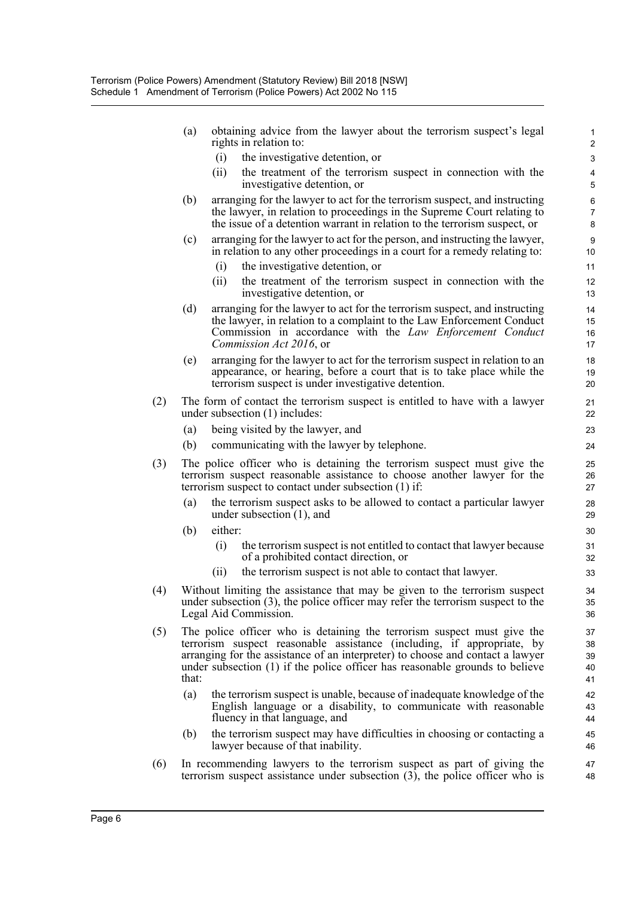|     | (a)   | obtaining advice from the lawyer about the terrorism suspect's legal<br>rights in relation to:                                                                                                                                                                                                                      | 1<br>$\overline{2}$        |
|-----|-------|---------------------------------------------------------------------------------------------------------------------------------------------------------------------------------------------------------------------------------------------------------------------------------------------------------------------|----------------------------|
|     |       | (i)<br>the investigative detention, or                                                                                                                                                                                                                                                                              | 3                          |
|     |       | the treatment of the terrorism suspect in connection with the<br>(ii)<br>investigative detention, or                                                                                                                                                                                                                | 4<br>5                     |
|     | (b)   | arranging for the lawyer to act for the terrorism suspect, and instructing<br>the lawyer, in relation to proceedings in the Supreme Court relating to<br>the issue of a detention warrant in relation to the terrorism suspect, or                                                                                  | 6<br>7<br>8                |
|     | (c)   | arranging for the lawyer to act for the person, and instructing the lawyer,<br>in relation to any other proceedings in a court for a remedy relating to:                                                                                                                                                            | $\boldsymbol{9}$<br>10     |
|     |       | the investigative detention, or<br>(i)                                                                                                                                                                                                                                                                              | 11                         |
|     |       | the treatment of the terrorism suspect in connection with the<br>(ii)<br>investigative detention, or                                                                                                                                                                                                                | 12<br>13                   |
|     | (d)   | arranging for the lawyer to act for the terrorism suspect, and instructing<br>the lawyer, in relation to a complaint to the Law Enforcement Conduct<br>Commission in accordance with the Law Enforcement Conduct<br>Commission Act 2016, or                                                                         | 14<br>15<br>16<br>17       |
|     | (e)   | arranging for the lawyer to act for the terrorism suspect in relation to an<br>appearance, or hearing, before a court that is to take place while the<br>terrorism suspect is under investigative detention.                                                                                                        | 18<br>19<br>20             |
| (2) |       | The form of contact the terrorism suspect is entitled to have with a lawyer<br>under subsection (1) includes:                                                                                                                                                                                                       | 21<br>22                   |
|     | (a)   | being visited by the lawyer, and                                                                                                                                                                                                                                                                                    | 23                         |
|     | (b)   | communicating with the lawyer by telephone.                                                                                                                                                                                                                                                                         | 24                         |
| (3) |       | The police officer who is detaining the terrorism suspect must give the<br>terrorism suspect reasonable assistance to choose another lawyer for the<br>terrorism suspect to contact under subsection (1) if:                                                                                                        | 25<br>26<br>27             |
|     | (a)   | the terrorism suspect asks to be allowed to contact a particular lawyer<br>under subsection $(1)$ , and                                                                                                                                                                                                             | 28<br>29                   |
|     | (b)   | either:                                                                                                                                                                                                                                                                                                             | 30                         |
|     |       | the terrorism suspect is not entitled to contact that lawyer because<br>(i)<br>of a prohibited contact direction, or                                                                                                                                                                                                | 31<br>32                   |
|     |       | the terrorism suspect is not able to contact that lawyer.<br>(ii)                                                                                                                                                                                                                                                   | 33                         |
| (4) |       | Without limiting the assistance that may be given to the terrorism suspect<br>under subsection $(3)$ , the police officer may refer the terrorism suspect to the<br>Legal Aid Commission.                                                                                                                           | 34<br>35<br>36             |
| (5) | that: | The police officer who is detaining the terrorism suspect must give the<br>terrorism suspect reasonable assistance (including, if appropriate, by<br>arranging for the assistance of an interpreter) to choose and contact a lawyer<br>under subsection (1) if the police officer has reasonable grounds to believe | 37<br>38<br>39<br>40<br>41 |
|     | (a)   | the terrorism suspect is unable, because of inadequate knowledge of the<br>English language or a disability, to communicate with reasonable<br>fluency in that language, and                                                                                                                                        | 42<br>43<br>44             |
|     | (b)   | the terrorism suspect may have difficulties in choosing or contacting a<br>lawyer because of that inability.                                                                                                                                                                                                        | 45<br>46                   |
| (6) |       | In recommending lawyers to the terrorism suspect as part of giving the<br>terrorism suspect assistance under subsection $(3)$ , the police officer who is                                                                                                                                                           | 47<br>48                   |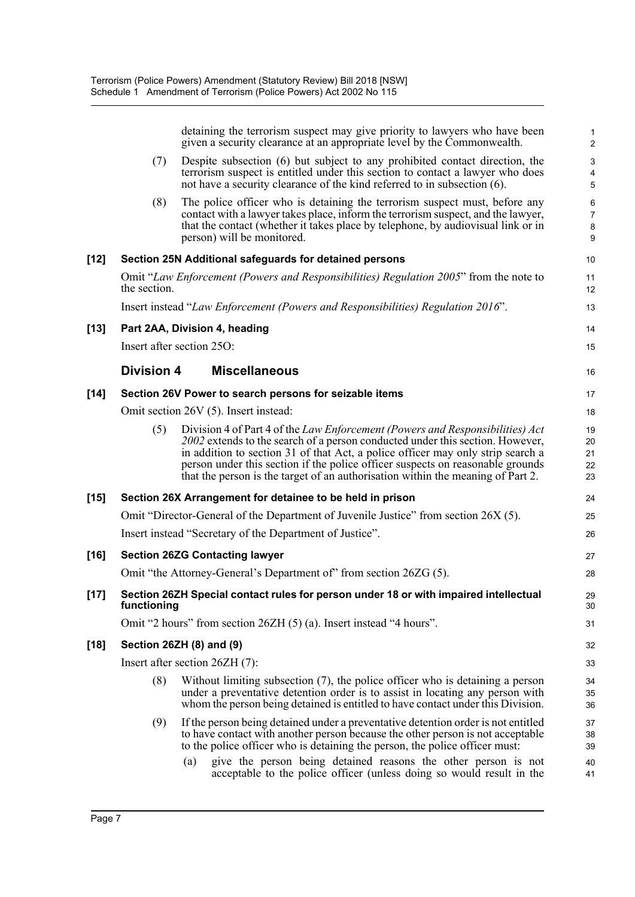|        |                   | detaining the terrorism suspect may give priority to lawyers who have been<br>given a security clearance at an appropriate level by the Commonwealth.                                                                                                                                                                                                                                                                  | $\mathbf{1}$<br>$\overline{2}$ |
|--------|-------------------|------------------------------------------------------------------------------------------------------------------------------------------------------------------------------------------------------------------------------------------------------------------------------------------------------------------------------------------------------------------------------------------------------------------------|--------------------------------|
|        | (7)               | Despite subsection (6) but subject to any prohibited contact direction, the<br>terrorism suspect is entitled under this section to contact a lawyer who does<br>not have a security clearance of the kind referred to in subsection (6).                                                                                                                                                                               | 3<br>4<br>$\overline{5}$       |
|        | (8)               | The police officer who is detaining the terrorism suspect must, before any<br>contact with a lawyer takes place, inform the terrorism suspect, and the lawyer,<br>that the contact (whether it takes place by telephone, by audiovisual link or in<br>person) will be monitored.                                                                                                                                       | 6<br>$\overline{7}$<br>8<br>9  |
| $[12]$ |                   | Section 25N Additional safeguards for detained persons                                                                                                                                                                                                                                                                                                                                                                 | 10                             |
|        | the section.      | Omit "Law Enforcement (Powers and Responsibilities) Regulation 2005" from the note to                                                                                                                                                                                                                                                                                                                                  | 11<br>12                       |
|        |                   | Insert instead "Law Enforcement (Powers and Responsibilities) Regulation 2016".                                                                                                                                                                                                                                                                                                                                        | 13                             |
| $[13]$ |                   | Part 2AA, Division 4, heading                                                                                                                                                                                                                                                                                                                                                                                          | 14                             |
|        |                   | Insert after section 250:                                                                                                                                                                                                                                                                                                                                                                                              | 15                             |
|        | <b>Division 4</b> | <b>Miscellaneous</b>                                                                                                                                                                                                                                                                                                                                                                                                   | 16                             |
| [14]   |                   | Section 26V Power to search persons for seizable items                                                                                                                                                                                                                                                                                                                                                                 | 17                             |
|        |                   | Omit section 26V (5). Insert instead:                                                                                                                                                                                                                                                                                                                                                                                  | 18                             |
|        | (5)               | Division 4 of Part 4 of the Law Enforcement (Powers and Responsibilities) Act<br>2002 extends to the search of a person conducted under this section. However,<br>in addition to section 31 of that Act, a police officer may only strip search a<br>person under this section if the police officer suspects on reasonable grounds<br>that the person is the target of an authorisation within the meaning of Part 2. | 19<br>20<br>21<br>22<br>23     |
| [15]   |                   | Section 26X Arrangement for detainee to be held in prison                                                                                                                                                                                                                                                                                                                                                              | 24                             |
|        |                   | Omit "Director-General of the Department of Juvenile Justice" from section 26X (5).                                                                                                                                                                                                                                                                                                                                    | 25                             |
|        |                   | Insert instead "Secretary of the Department of Justice".                                                                                                                                                                                                                                                                                                                                                               | 26                             |
| [16]   |                   | <b>Section 26ZG Contacting lawyer</b>                                                                                                                                                                                                                                                                                                                                                                                  | 27                             |
|        |                   | Omit "the Attorney-General's Department of" from section 26ZG (5).                                                                                                                                                                                                                                                                                                                                                     | 28                             |
| [17]   | functioning       | Section 26ZH Special contact rules for person under 18 or with impaired intellectual                                                                                                                                                                                                                                                                                                                                   | 29<br>30                       |
|        |                   | Omit "2 hours" from section 26ZH (5) (a). Insert instead "4 hours".                                                                                                                                                                                                                                                                                                                                                    | 31                             |
| [18]   |                   | Section 26ZH (8) and (9)                                                                                                                                                                                                                                                                                                                                                                                               | 32                             |
|        |                   | Insert after section 26ZH (7):                                                                                                                                                                                                                                                                                                                                                                                         | 33                             |
|        | (8)               | Without limiting subsection $(7)$ , the police officer who is detaining a person<br>under a preventative detention order is to assist in locating any person with<br>whom the person being detained is entitled to have contact under this Division.                                                                                                                                                                   | 34<br>35<br>36                 |
|        | (9)               | If the person being detained under a preventative detention order is not entitled<br>to have contact with another person because the other person is not acceptable<br>to the police officer who is detaining the person, the police officer must:                                                                                                                                                                     | 37<br>38<br>39                 |
|        |                   | give the person being detained reasons the other person is not<br>$\left( a\right)$<br>acceptable to the police officer (unless doing so would result in the                                                                                                                                                                                                                                                           | 40<br>41                       |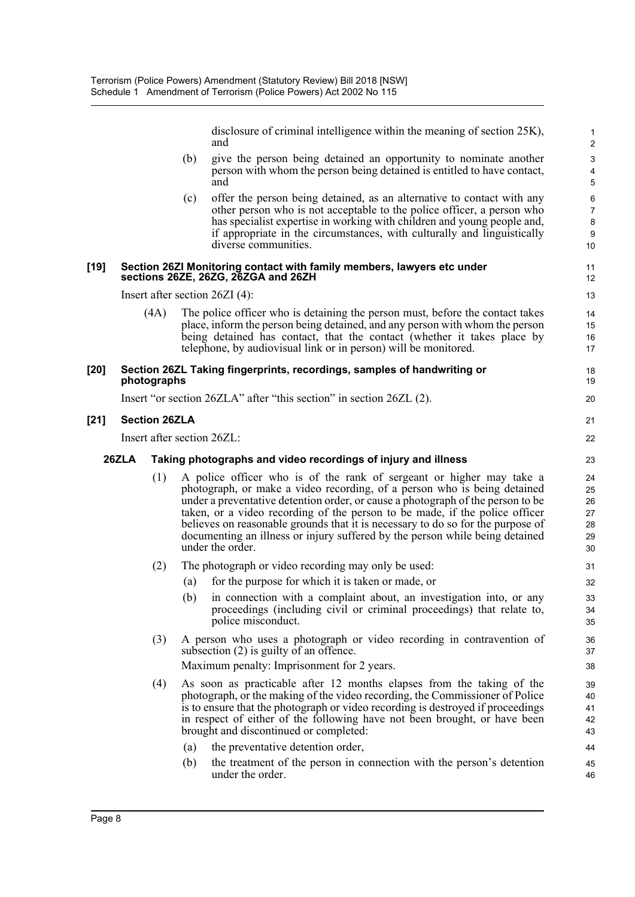disclosure of criminal intelligence within the meaning of section 25K), and

21 22

- (b) give the person being detained an opportunity to nominate another person with whom the person being detained is entitled to have contact, and
- (c) offer the person being detained, as an alternative to contact with any other person who is not acceptable to the police officer, a person who has specialist expertise in working with children and young people and, if appropriate in the circumstances, with culturally and linguistically diverse communities.

#### **[19] Section 26ZI Monitoring contact with family members, lawyers etc under sections 26ZE, 26ZG, 26ZGA and 26ZH**

Insert after section 26ZI (4):

(4A) The police officer who is detaining the person must, before the contact takes place, inform the person being detained, and any person with whom the person being detained has contact, that the contact (whether it takes place by telephone, by audiovisual link or in person) will be monitored.

#### **[20] Section 26ZL Taking fingerprints, recordings, samples of handwriting or photographs**

Insert "or section 26ZLA" after "this section" in section 26ZL (2).

### **[21] Section 26ZLA**

Insert after section 26ZL:

#### **26ZLA Taking photographs and video recordings of injury and illness**

- (1) A police officer who is of the rank of sergeant or higher may take a photograph, or make a video recording, of a person who is being detained under a preventative detention order, or cause a photograph of the person to be taken, or a video recording of the person to be made, if the police officer believes on reasonable grounds that it is necessary to do so for the purpose of documenting an illness or injury suffered by the person while being detained under the order.
- (2) The photograph or video recording may only be used:
	- (a) for the purpose for which it is taken or made, or
	- (b) in connection with a complaint about, an investigation into, or any proceedings (including civil or criminal proceedings) that relate to, police misconduct.
- (3) A person who uses a photograph or video recording in contravention of subsection (2) is guilty of an offence. Maximum penalty: Imprisonment for 2 years.
- (4) As soon as practicable after 12 months elapses from the taking of the photograph, or the making of the video recording, the Commissioner of Police is to ensure that the photograph or video recording is destroyed if proceedings in respect of either of the following have not been brought, or have been brought and discontinued or completed:
	- (a) the preventative detention order,
	- (b) the treatment of the person in connection with the person's detention under the order.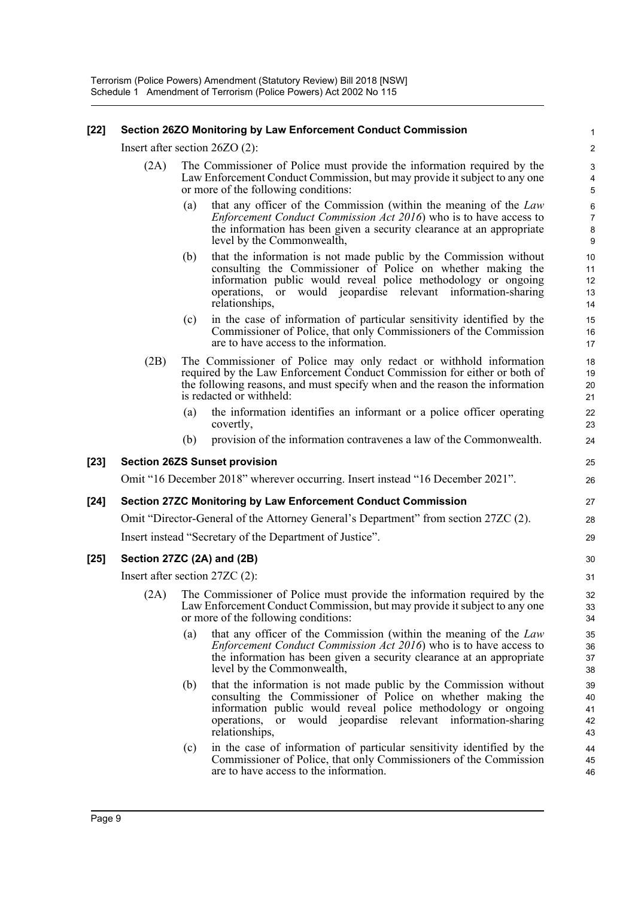### **[22] Section 26ZO Monitoring by Law Enforcement Conduct Commission**

Insert after section 26ZO (2):

- (2A) The Commissioner of Police must provide the information required by the Law Enforcement Conduct Commission, but may provide it subject to any one or more of the following conditions:
	- (a) that any officer of the Commission (within the meaning of the *Law Enforcement Conduct Commission Act 2016*) who is to have access to the information has been given a security clearance at an appropriate level by the Commonwealth,

- (b) that the information is not made public by the Commission without consulting the Commissioner of Police on whether making the information public would reveal police methodology or ongoing operations, or would jeopardise relevant information-sharing relationships,
- (c) in the case of information of particular sensitivity identified by the Commissioner of Police, that only Commissioners of the Commission are to have access to the information.
- (2B) The Commissioner of Police may only redact or withhold information required by the Law Enforcement Conduct Commission for either or both of the following reasons, and must specify when and the reason the information is redacted or withheld:
	- (a) the information identifies an informant or a police officer operating covertly,
	- (b) provision of the information contravenes a law of the Commonwealth.

### **[23] Section 26ZS Sunset provision**

Omit "16 December 2018" wherever occurring. Insert instead "16 December 2021".

### **[24] Section 27ZC Monitoring by Law Enforcement Conduct Commission**

```
Omit "Director-General of the Attorney General's Department" from section 27ZC (2).
```
Insert instead "Secretary of the Department of Justice".

### **[25] Section 27ZC (2A) and (2B)**

Insert after section 27ZC (2):

- (2A) The Commissioner of Police must provide the information required by the Law Enforcement Conduct Commission, but may provide it subject to any one or more of the following conditions:
	- (a) that any officer of the Commission (within the meaning of the *Law Enforcement Conduct Commission Act 2016*) who is to have access to the information has been given a security clearance at an appropriate level by the Commonwealth,
	- (b) that the information is not made public by the Commission without consulting the Commissioner of Police on whether making the information public would reveal police methodology or ongoing operations, or would jeopardise relevant information-sharing relationships,
	- (c) in the case of information of particular sensitivity identified by the Commissioner of Police, that only Commissioners of the Commission are to have access to the information.